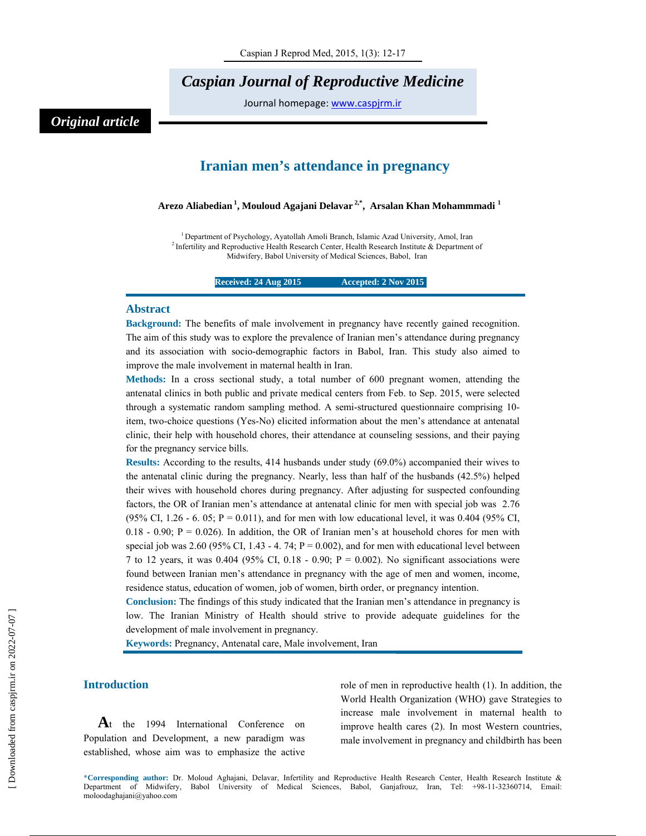## *Caspian Journal of Reproductive Medicine*

Journal homepage: www.caspjrm.ir

## *Original article*

### **Iranian men's attendance in pregnancy**

**Arezo Aliabedian 1, Mouloud Agajani Delavar 2,\*, Arsalan Khan Mohammmadi 1** 

<sup>1</sup> Department of Psychology, Ayatollah Amoli Branch, Islamic Azad University, Amol, Iran <sup>2</sup> Infertility and Reproductive Health Research Center, Health Research Institute & Department of Midwifery, Babol University of Medical Sciences, Babol, Iran

**Received: 24 Aug 2015 12 Accepted: 2 Nov 2015** 

#### **Abstract**

**Background:** The benefits of male involvement in pregnancy have recently gained recognition. The aim of this study was to explore the prevalence of Iranian men's attendance during pregnancy and its association with socio-demographic factors in Babol, Iran. This study also aimed to improve the male involvement in maternal health in Iran.

**Methods:** In a cross sectional study, a total number of 600 pregnant women, attending the antenatal clinics in both public and private medical centers from Feb. to Sep. 2015, were selected through a systematic random sampling method. A semi-structured questionnaire comprising 10 item, two-choice questions (Yes-No) elicited information about the men's attendance at antenatal clinic, their help with household chores, their attendance at counseling sessions, and their paying for the pregnancy service bills.

**Results:** According to the results, 414 husbands under study (69.0%) accompanied their wives to the antenatal clinic during the pregnancy. Nearly, less than half of the husbands (42.5%) helped their wives with household chores during pregnancy. After adjusting for suspected confounding factors, the OR of Iranian men's attendance at antenatal clinic for men with special job was 2.76 (95% CI, 1.26 - 6. 05;  $P = 0.011$ ), and for men with low educational level, it was 0.404 (95% CI, 0.18 - 0.90;  $P = 0.026$ ). In addition, the OR of Iranian men's at household chores for men with special job was 2.60 (95% CI, 1.43 - 4. 74;  $P = 0.002$ ), and for men with educational level between 7 to 12 years, it was 0.404 (95% CI, 0.18 - 0.90;  $P = 0.002$ ). No significant associations were found between Iranian men's attendance in pregnancy with the age of men and women, income, residence status, education of women, job of women, birth order, or pregnancy intention.

**Conclusion:** The findings of this study indicated that the Iranian men's attendance in pregnancy is low. The Iranian Ministry of Health should strive to provide adequate guidelines for the development of male involvement in pregnancy.

**Keywords:** Pregnancy, Antenatal care, Male involvement, Iran

#### **Introduction**

At the 1994 International Conference on Population and Development, a new paradigm was established, whose aim was to emphasize the active role of men in reproductive health (1). In addition, the World Health Organization (WHO) gave Strategies to increase male involvement in maternal health to improve health cares (2). In most Western countries, male involvement in pregnancy and childbirth has been

\***Corresponding author:** Dr. Moloud Aghajani, Delavar, Infertility and Reproductive Health Research Center, Health Research Institute & Department of Midwifery, Babol University of Medical Sciences, Babol, Ganjafrouz, Iran, Tel: +98-11-32360714, Email: moloodaghajani@yahoo.com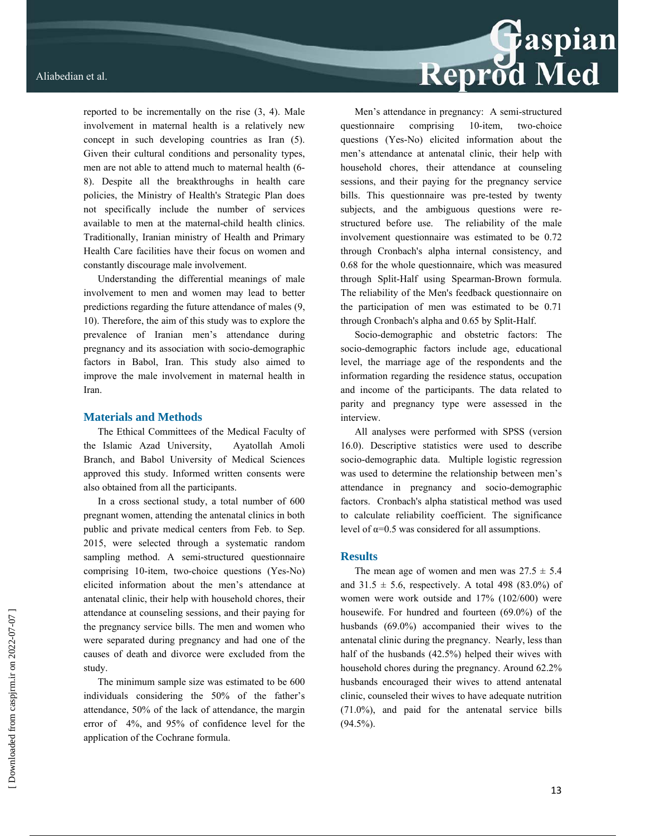reported to be incrementally on the rise (3, 4). Male involvement in maternal health is a relatively new concept in such developing countries as Iran (5). Given their cultural conditions and personality types, men are not able to attend much to maternal health (6- 8). Despite all the breakthroughs in health care policies, the Ministry of Health's Strategic Plan does not specifically include the number of services available to men at the maternal-child health clinics. Traditionally, Iranian ministry of Health and Primary Health Care facilities have their focus on women and constantly discourage male involvement.

Understanding the differential meanings of male involvement to men and women may lead to better predictions regarding the future attendance of males (9, 10). Therefore, the aim of this study was to explore the prevalence of Iranian men's attendance during pregnancy and its association with socio-demographic factors in Babol, Iran. This study also aimed to improve the male involvement in maternal health in Iran.

#### **Materials and Methods**

The Ethical Committees of the Medical Faculty of the Islamic Azad University, Ayatollah Amoli Branch, and Babol University of Medical Sciences approved this study. Informed written consents were also obtained from all the participants.

In a cross sectional study, a total number of 600 pregnant women, attending the antenatal clinics in both public and private medical centers from Feb. to Sep. 2015, were selected through a systematic random sampling method. A semi-structured questionnaire comprising 10-item, two-choice questions (Yes-No) elicited information about the men's attendance at antenatal clinic, their help with household chores, their attendance at counseling sessions, and their paying for the pregnancy service bills. The men and women who were separated during pregnancy and had one of the causes of death and divorce were excluded from the study.

The minimum sample size was estimated to be 600 individuals considering the 50% of the father's attendance, 50% of the lack of attendance, the margin error of 4%, and 95% of confidence level for the application of the Cochrane formula.

# Reprod Med

Men's attendance in pregnancy: A semi-structured questionnaire comprising 10-item, two-choice questions (Yes-No) elicited information about the men's attendance at antenatal clinic, their help with household chores, their attendance at counseling sessions, and their paying for the pregnancy service bills. This questionnaire was pre-tested by twenty subjects, and the ambiguous questions were restructured before use. The reliability of the male involvement questionnaire was estimated to be 0.72 through Cronbach's alpha internal consistency, and 0.68 for the whole questionnaire, which was measured through Split-Half using Spearman-Brown formula. The reliability of the Men's feedback questionnaire on the participation of men was estimated to be 0.71 through Cronbach's alpha and 0.65 by Split-Half.

Socio-demographic and obstetric factors: The socio-demographic factors include age, educational level, the marriage age of the respondents and the information regarding the residence status, occupation and income of the participants. The data related to parity and pregnancy type were assessed in the interview.

All analyses were performed with SPSS (version 16.0). Descriptive statistics were used to describe socio-demographic data. Multiple logistic regression was used to determine the relationship between men's attendance in pregnancy and socio-demographic factors. Cronbach's alpha statistical method was used to calculate reliability coefficient. The significance level of  $\alpha$ =0.5 was considered for all assumptions.

#### **Results**

The mean age of women and men was  $27.5 \pm 5.4$ and  $31.5 \pm 5.6$ , respectively. A total 498 (83.0%) of women were work outside and 17% (102/600) were housewife. For hundred and fourteen (69.0%) of the husbands (69.0%) accompanied their wives to the antenatal clinic during the pregnancy. Nearly, less than half of the husbands (42.5%) helped their wives with household chores during the pregnancy. Around 62.2% husbands encouraged their wives to attend antenatal clinic, counseled their wives to have adequate nutrition (71.0%), and paid for the antenatal service bills  $(94.5\%)$ .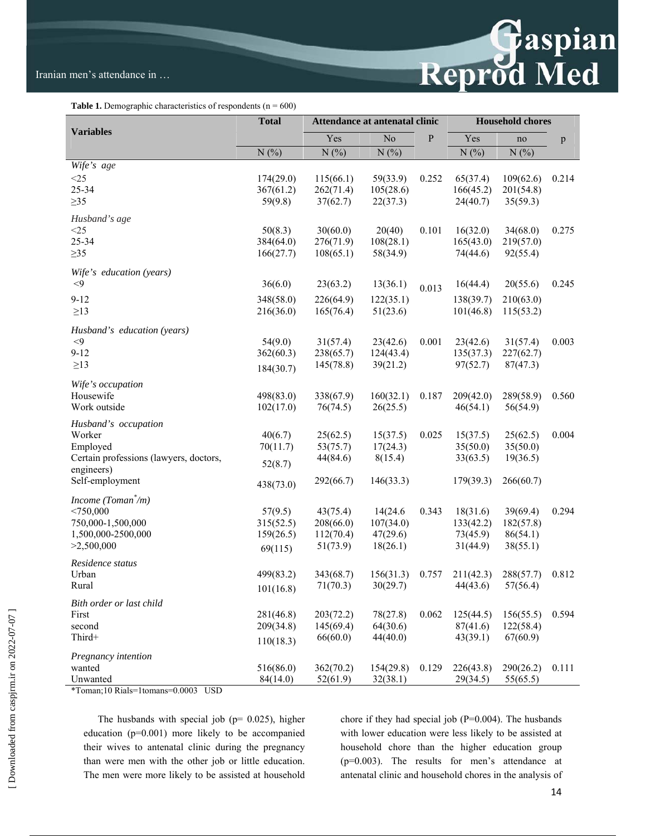

**Table 1.** Demographic characteristics of respondents  $(n = 600)$ 

|                                                      | <b>Total</b> |           | Attendance at antenatal clinic |           | <b>Household chores</b> |           |              |
|------------------------------------------------------|--------------|-----------|--------------------------------|-----------|-------------------------|-----------|--------------|
| <b>Variables</b>                                     |              | Yes       | $\overline{No}$                | ${\bf P}$ | Yes                     | no        | $\mathbf{p}$ |
|                                                      | N(%)         | N(%)      | N(%)                           |           | N(%)                    | N(%)      |              |
| Wife's age                                           |              |           |                                |           |                         |           |              |
| $<$ 25                                               | 174(29.0)    | 115(66.1) | 59(33.9)                       | 0.252     | 65(37.4)                | 109(62.6) | 0.214        |
| 25-34                                                | 367(61.2)    | 262(71.4) | 105(28.6)                      |           | 166(45.2)               | 201(54.8) |              |
| $\geq 35$                                            | 59(9.8)      | 37(62.7)  | 22(37.3)                       |           | 24(40.7)                | 35(59.3)  |              |
| Husband's age                                        |              |           |                                |           |                         |           |              |
| <25                                                  | 50(8.3)      | 30(60.0)  | 20(40)                         | 0.101     | 16(32.0)                | 34(68.0)  | 0.275        |
| 25-34                                                | 384(64.0)    | 276(71.9) | 108(28.1)                      |           | 165(43.0)               | 219(57.0) |              |
| $\geq 35$                                            | 166(27.7)    | 108(65.1) | 58(34.9)                       |           | 74(44.6)                | 92(55.4)  |              |
| Wife's education (years)                             |              |           |                                |           |                         |           |              |
| $<$ 9                                                | 36(6.0)      | 23(63.2)  | 13(36.1)                       | 0.013     | 16(44.4)                | 20(55.6)  | 0.245        |
| $9 - 12$                                             | 348(58.0)    | 226(64.9) | 122(35.1)                      |           | 138(39.7)               | 210(63.0) |              |
| $\geq$ 13                                            | 216(36.0)    | 165(76.4) | 51(23.6)                       |           | 101(46.8)               | 115(53.2) |              |
| Husband's education (years)                          |              |           |                                |           |                         |           |              |
| $<$ 9                                                | 54(9.0)      | 31(57.4)  | 23(42.6)                       | 0.001     | 23(42.6)                | 31(57.4)  | 0.003        |
| $9 - 12$                                             | 362(60.3)    | 238(65.7) | 124(43.4)                      |           | 135(37.3)               | 227(62.7) |              |
| $\geq$ 13                                            | 184(30.7)    | 145(78.8) | 39(21.2)                       |           | 97(52.7)                | 87(47.3)  |              |
|                                                      |              |           |                                |           |                         |           |              |
| Wife's occupation<br>Housewife                       | 498(83.0)    | 338(67.9) | 160(32.1)                      | 0.187     | 209(42.0)               | 289(58.9) | 0.560        |
| Work outside                                         | 102(17.0)    | 76(74.5)  | 26(25.5)                       |           | 46(54.1)                | 56(54.9)  |              |
|                                                      |              |           |                                |           |                         |           |              |
| Husband's occupation                                 |              |           |                                |           |                         |           |              |
| Worker                                               | 40(6.7)      | 25(62.5)  | 15(37.5)                       | 0.025     | 15(37.5)                | 25(62.5)  | 0.004        |
| Employed                                             | 70(11.7)     | 53(75.7)  | 17(24.3)                       |           | 35(50.0)                | 35(50.0)  |              |
| Certain professions (lawyers, doctors,<br>engineers) | 52(8.7)      | 44(84.6)  | 8(15.4)                        |           | 33(63.5)                | 19(36.5)  |              |
| Self-employment                                      | 438(73.0)    | 292(66.7) | 146(33.3)                      |           | 179(39.3)               | 266(60.7) |              |
| Income (Toman $\check{}/m$ )                         |              |           |                                |           |                         |           |              |
| < 750,000                                            | 57(9.5)      | 43(75.4)  | 14(24.6)                       | 0.343     | 18(31.6)                | 39(69.4)  | 0.294        |
| 750,000-1,500,000                                    | 315(52.5)    | 208(66.0) | 107(34.0)                      |           | 133(42.2)               | 182(57.8) |              |
| 1,500,000-2500,000                                   | 159(26.5)    | 112(70.4) | 47(29.6)                       |           | 73(45.9)                | 86(54.1)  |              |
| >2,500,000                                           | 69(115)      | 51(73.9)  | 18(26.1)                       |           | 31(44.9)                | 38(55.1)  |              |
| Residence status                                     |              |           |                                |           |                         |           |              |
| Urban                                                | 499(83.2)    | 343(68.7) | 156(31.3)                      | 0.757     | 211(42.3)               | 288(57.7) | 0.812        |
| Rural                                                | 101(16.8)    | 71(70.3)  | 30(29.7)                       |           | 44(43.6)                | 57(56.4)  |              |
| Bith order or last child                             |              |           |                                |           |                         |           |              |
| First                                                | 281(46.8)    | 203(72.2) | 78(27.8)                       | 0.062     | 125(44.5)               | 156(55.5) | 0.594        |
| second                                               | 209(34.8)    | 145(69.4) | 64(30.6)                       |           | 87(41.6)                | 122(58.4) |              |
| Third+                                               | 110(18.3)    | 66(60.0)  | 44(40.0)                       |           | 43(39.1)                | 67(60.9)  |              |
| Pregnancy intention                                  |              |           |                                |           |                         |           |              |
| wanted                                               | 516(86.0)    | 362(70.2) | 154(29.8)                      | 0.129     | 226(43.8)               | 290(26.2) | 0.111        |
| Unwanted                                             | 84(14.0)     | 52(61.9)  | 32(38.1)                       |           | 29(34.5)                | 55(65.5)  |              |

\*Toman;10 Rials=1tomans=0.0003 USD

The husbands with special job ( $p= 0.025$ ), higher education (p=0.001) more likely to be accompanied their wives to antenatal clinic during the pregnancy than were men with the other job or little education. The men were more likely to be assisted at household chore if they had special job (P=0.004). The husbands with lower education were less likely to be assisted at household chore than the higher education group (p=0.003). The results for men's attendance at antenatal clinic and household chores in the analysis of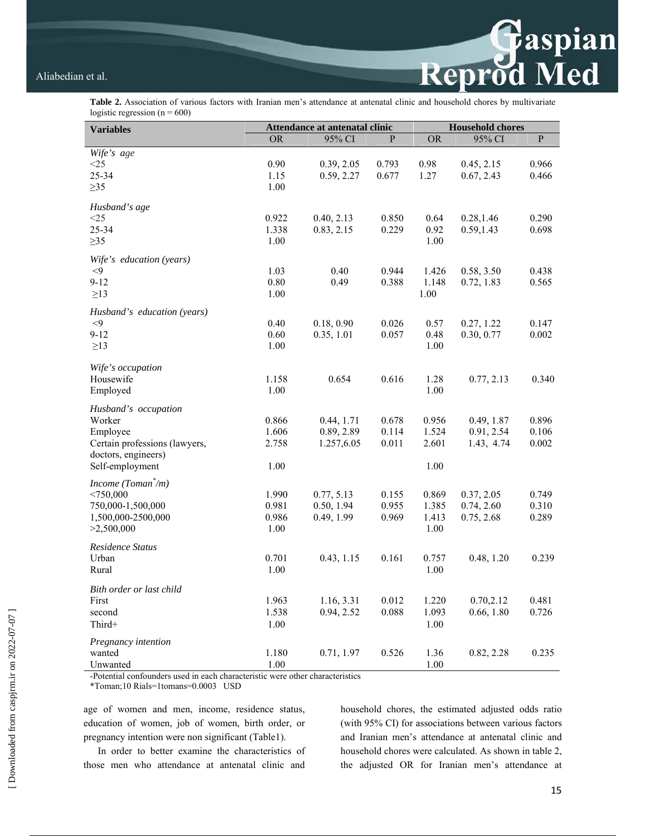**Table 2.** Association of various factors with Iranian men's attendance at antenatal clinic and household chores by multivariate logistic regression ( $n = 600$ )

| <b>Variables</b>              | Attendance at antenatal clinic |            |              | <b>Household chores</b> |            |                |  |
|-------------------------------|--------------------------------|------------|--------------|-------------------------|------------|----------------|--|
|                               | <b>OR</b>                      | 95% CI     | $\mathbf{P}$ | <b>OR</b>               | 95% CI     | $\overline{P}$ |  |
| Wife's age                    |                                |            |              |                         |            |                |  |
| $<$ 25                        | 0.90                           | 0.39, 2.05 | 0.793        | 0.98                    | 0.45, 2.15 | 0.966          |  |
| 25-34                         | 1.15                           | 0.59, 2.27 | 0.677        | 1.27                    | 0.67, 2.43 | 0.466          |  |
| $\geq$ 35                     | 1.00                           |            |              |                         |            |                |  |
| Husband's age                 |                                |            |              |                         |            |                |  |
| $<$ 25                        | 0.922                          | 0.40, 2.13 | 0.850        | 0.64                    | 0.28,1.46  | 0.290          |  |
| 25-34                         | 1.338                          | 0.83, 2.15 | 0.229        | 0.92                    | 0.59,1.43  | 0.698          |  |
| $\geq$ 35                     | 1.00                           |            |              | 1.00                    |            |                |  |
| Wife's education (years)      |                                |            |              |                         |            |                |  |
| $\leq$ 9                      | 1.03                           | 0.40       | 0.944        | 1.426                   | 0.58, 3.50 | 0.438          |  |
| $9 - 12$                      | $0.80\,$                       | 0.49       | 0.388        | 1.148                   | 0.72, 1.83 | 0.565          |  |
| $\geq$ 13                     | 1.00                           |            |              | 1.00                    |            |                |  |
| Husband's education (years)   |                                |            |              |                         |            |                |  |
| $<$ 9                         | 0.40                           | 0.18, 0.90 | 0.026        | 0.57                    | 0.27, 1.22 | 0.147          |  |
| $9 - 12$                      | 0.60                           | 0.35, 1.01 | 0.057        | 0.48                    | 0.30, 0.77 | 0.002          |  |
| $\geq$ 13                     | 1.00                           |            |              | 1.00                    |            |                |  |
|                               |                                |            |              |                         |            |                |  |
| Wife's occupation             |                                |            | 0.616        |                         |            |                |  |
| Housewife                     | 1.158<br>1.00                  | 0.654      |              | 1.28<br>1.00            | 0.77, 2.13 | 0.340          |  |
| Employed                      |                                |            |              |                         |            |                |  |
| Husband's occupation          |                                |            |              |                         |            |                |  |
| Worker                        | 0.866                          | 0.44, 1.71 | 0.678        | 0.956                   | 0.49, 1.87 | 0.896          |  |
| Employee                      | 1.606                          | 0.89, 2.89 | 0.114        | 1.524                   | 0.91, 2.54 | 0.106          |  |
| Certain professions (lawyers, | 2.758                          | 1.257,6.05 | 0.011        | 2.601                   | 1.43, 4.74 | 0.002          |  |
| doctors, engineers)           |                                |            |              |                         |            |                |  |
| Self-employment               | 1.00                           |            |              | 1.00                    |            |                |  |
| Income $(Toman^*/m)$          |                                |            |              |                         |            |                |  |
| $<$ 750,000                   | 1.990                          | 0.77, 5.13 | 0.155        | 0.869                   | 0.37, 2.05 | 0.749          |  |
| 750,000-1,500,000             | 0.981                          | 0.50, 1.94 | 0.955        | 1.385                   | 0.74, 2.60 | 0.310          |  |
| 1,500,000-2500,000            | 0.986                          | 0.49, 1.99 | 0.969        | 1.413                   | 0.75, 2.68 | 0.289          |  |
| >2,500,000                    | 1.00                           |            |              | 1.00                    |            |                |  |
| Residence Status              |                                |            |              |                         |            |                |  |
| Urban                         | 0.701                          | 0.43, 1.15 | 0.161        | 0.757                   | 0.48, 1.20 | 0.239          |  |
| Rural                         | 1.00                           |            |              | 1.00                    |            |                |  |
| Bith order or last child      |                                |            |              |                         |            |                |  |
| First                         | 1.963                          | 1.16, 3.31 | 0.012        | 1.220                   | 0.70,2.12  | 0.481          |  |
| second                        | 1.538                          | 0.94, 2.52 | 0.088        | 1.093                   | 0.66, 1.80 | 0.726          |  |
| Third+                        | 1.00                           |            |              | 1.00                    |            |                |  |
| Pregnancy intention           |                                |            |              |                         |            |                |  |
| wanted                        | 1.180                          | 0.71, 1.97 | 0.526        | 1.36                    | 0.82, 2.28 | 0.235          |  |
| Unwanted                      | 1.00                           |            |              | 1.00                    |            |                |  |

-Potential confounders used in each characteristic were other characteristics

\*Toman;10 Rials=1tomans=0.0003 USD

age of women and men, income, residence status, education of women, job of women, birth order, or pregnancy intention were non significant (Table1).

In order to better examine the characteristics of those men who attendance at antenatal clinic and

household chores, the estimated adjusted odds ratio (with 95% CI) for associations between various factors and Iranian men's attendance at antenatal clinic and household chores were calculated. As shown in table 2, the adjusted OR for Iranian men's attendance at

Reprod Med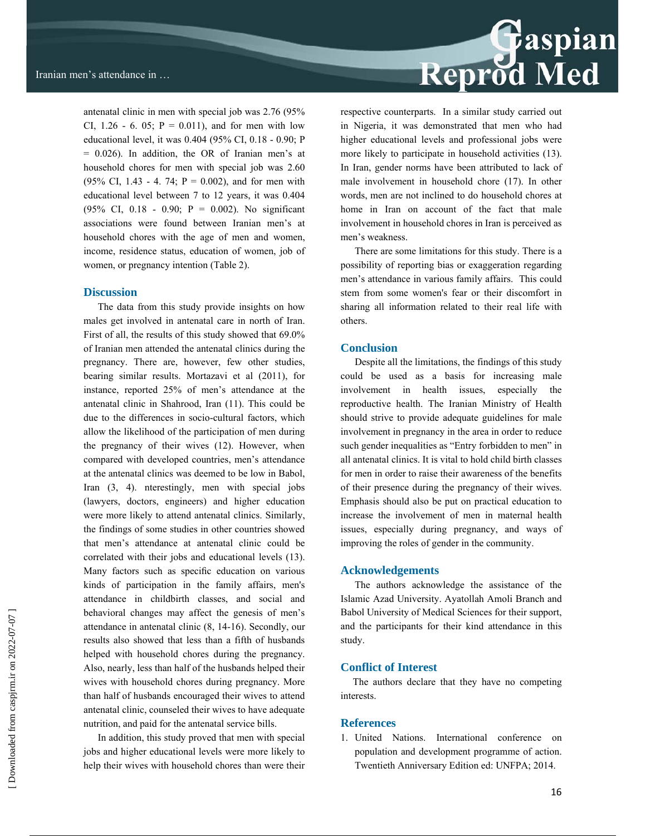antenatal clinic in men with special job was 2.76 (95% CI,  $1.26 - 6$ ,  $0.05$ ;  $P = 0.011$ ), and for men with low educational level, it was 0.404 (95% CI, 0.18 - 0.90; P = 0.026). In addition, the OR of Iranian men's at household chores for men with special job was 2.60 (95% CI, 1.43 - 4. 74;  $P = 0.002$ ), and for men with educational level between 7 to 12 years, it was 0.404 (95% CI, 0.18 - 0.90; P = 0.002). No significant associations were found between Iranian men's at household chores with the age of men and women, income, residence status, education of women, job of women, or pregnancy intention (Table 2).

#### **Discussion**

The data from this study provide insights on how males get involved in antenatal care in north of Iran. First of all, the results of this study showed that 69.0% of Iranian men attended the antenatal clinics during the pregnancy. There are, however, few other studies, bearing similar results. Mortazavi et al (2011), for instance, reported 25% of men's attendance at the antenatal clinic in Shahrood, Iran (11). This could be due to the differences in socio-cultural factors, which allow the likelihood of the participation of men during the pregnancy of their wives (12). However, when compared with developed countries, men's attendance at the antenatal clinics was deemed to be low in Babol, Iran (3, 4). nterestingly, men with special jobs (lawyers, doctors, engineers) and higher education were more likely to attend antenatal clinics. Similarly, the findings of some studies in other countries showed that men's attendance at antenatal clinic could be correlated with their jobs and educational levels (13). Many factors such as specific education on various kinds of participation in the family affairs, men's attendance in childbirth classes, and social and behavioral changes may affect the genesis of men's attendance in antenatal clinic (8, 14-16). Secondly, our results also showed that less than a fifth of husbands helped with household chores during the pregnancy. Also, nearly, less than half of the husbands helped their wives with household chores during pregnancy. More than half of husbands encouraged their wives to attend antenatal clinic, counseled their wives to have adequate nutrition, and paid for the antenatal service bills.

In addition, this study proved that men with special jobs and higher educational levels were more likely to help their wives with household chores than were their

## Reprod Med

respective counterparts. In a similar study carried out in Nigeria, it was demonstrated that men who had higher educational levels and professional jobs were more likely to participate in household activities (13). In Iran, gender norms have been attributed to lack of male involvement in household chore (17). In other words, men are not inclined to do household chores at home in Iran on account of the fact that male involvement in household chores in Iran is perceived as men's weakness.

There are some limitations for this study. There is a possibility of reporting bias or exaggeration regarding men's attendance in various family affairs. This could stem from some women's fear or their discomfort in sharing all information related to their real life with others.

#### **Conclusion**

Despite all the limitations, the findings of this study could be used as a basis for increasing male involvement in health issues, especially the reproductive health. The Iranian Ministry of Health should strive to provide adequate guidelines for male involvement in pregnancy in the area in order to reduce such gender inequalities as "Entry forbidden to men" in all antenatal clinics. It is vital to hold child birth classes for men in order to raise their awareness of the benefits of their presence during the pregnancy of their wives. Emphasis should also be put on practical education to increase the involvement of men in maternal health issues, especially during pregnancy, and ways of improving the roles of gender in the community.

#### **Acknowledgements**

The authors acknowledge the assistance of the Islamic Azad University. Ayatollah Amoli Branch and Babol University of Medical Sciences for their support, and the participants for their kind attendance in this study.

#### **Conflict of Interest**

 The authors declare that they have no competing interests.

#### **References**

1. United Nations. International conference on population and development programme of action. Twentieth Anniversary Edition ed: UNFPA; 2014.